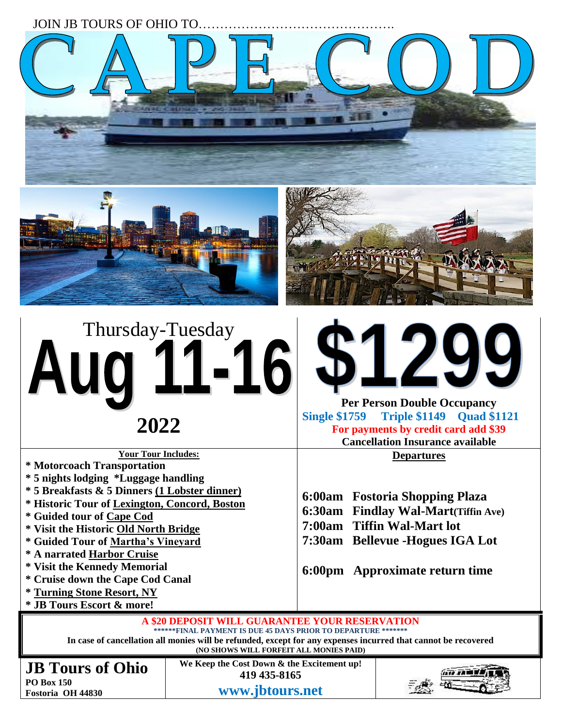JOIN JB TOURS OF OHIO TO ............







# Thursday-Tuesday A **2022**

**Your Tour Includes:** 

- **\* Motorcoach Transportation**
- **\* 5 nights lodging \*Luggage handling**
- **\* 5 Breakfasts & 5 Dinners (1 Lobster dinner)**
- **\* Historic Tour of Lexington, Concord, Boston**
- **\* Guided tour of Cape Cod**
- **\* Visit the Historic Old North Bridge**
- **\* Guided Tour of Martha's Vineyard**
- **\* A narrated Harbor Cruise**
- **\* Visit the Kennedy Memorial**
- **\* Cruise down the Cape Cod Canal**
- **\* Turning Stone Resort, NY**
- **\* JB Tours Escort & more!**



**Cancellation Insurance available**

**Departures**

**6:00am Fostoria Shopping Plaza**

- **6:30am Findlay Wal-Mart(Tiffin Ave)**
- **7:00am Tiffin Wal-Mart lot**
- **7:30am Bellevue -Hogues IGA Lot**

**6:00pm Approximate return time**

**A \$20 DEPOSIT WILL GUARANTEE YOUR RESERVATION \*\*\*\*\*\*FINAL PAYMENT IS DUE 45 DAYS PRIOR TO DEPARTURE \*\*\*\*\*\*\* In case of cancellation all monies will be refunded, except for any expenses incurred that cannot be recovered (NO SHOWS WILL FORFEIT ALL MONIES PAID)**

**JB Tours of Ohio PO Box 150**

**Fostoria OH 44830**

**We Keep the Cost Down & the Excitement up! 419 435-8165 www.jbtours.net**